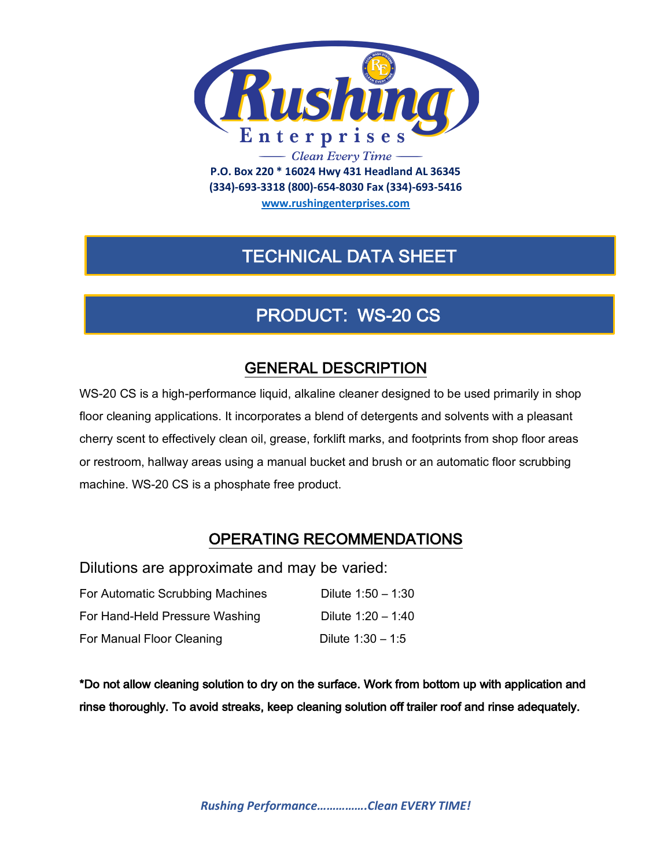

**(334)-693-3318 (800)-654-8030 Fax (334)-693-5416**

**www.rushingenterprises.com**

# TECHNICAL DATA SHEET

# PRODUCT: WS-20 CS

## GENERAL DESCRIPTION

WS-20 CS is a high-performance liquid, alkaline cleaner designed to be used primarily in shop floor cleaning applications. It incorporates a blend of detergents and solvents with a pleasant cherry scent to effectively clean oil, grease, forklift marks, and footprints from shop floor areas or restroom, hallway areas using a manual bucket and brush or an automatic floor scrubbing machine. WS-20 CS is a phosphate free product.

## OPERATING RECOMMENDATIONS

Dilutions are approximate and may be varied:

| For Automatic Scrubbing Machines | Dilute $1:50 - 1:30$ |
|----------------------------------|----------------------|
| For Hand-Held Pressure Washing   | Dilute $1:20 - 1:40$ |
| For Manual Floor Cleaning        | Dilute $1:30 - 1:5$  |

\*Do not allow cleaning solution to dry on the surface. Work from bottom up with application and rinse thoroughly. To avoid streaks, keep cleaning solution off trailer roof and rinse adequately.

*Rushing Performance…………….Clean EVERY TIME!*